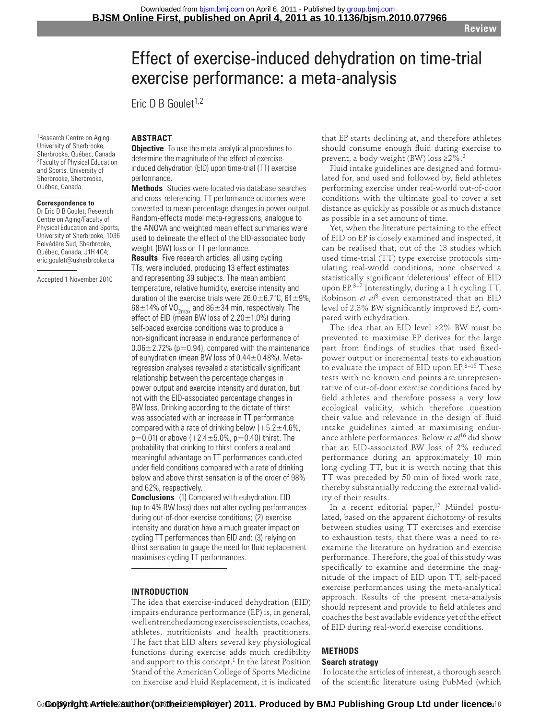**Review**

# Effect of exercise-induced dehydration on time-trial exercise performance: a meta-analysis

Eric  $D$  B Goulet<sup>1,2</sup>

1 Research Centre on Aging, University of Sherbrooke, Sherbrooke, Québec, Canada 2 Faculty of Physical Education and Sports, University of Sherbrooke, Sherbrooke, Québec, Canada

#### **Correspondence to**

 Dr Eric D B Goulet, Research Centre on Aging/Faculty of Physical Education and Sports, University of Sherbrooke, 1036 Belvédère Sud, Sherbrooke, Québec, Canada, J1H 4C4; eric.goulet@usherbrooke.ca

Accepted 1 November 2010

### **ABSTRACT**

**Objective** To use the meta-analytical procedures to determine the magnitude of the effect of exerciseinduced dehydration (EID) upon time-trial (TT) exercise performance.

 **Methods** Studies were located via database searches and cross-referencing. TT performance outcomes were converted to mean percentage changes in power output. Random-effects model meta-regressions, analogue to the ANOVA and weighted mean effect summaries were used to delineate the effect of the EID-associated body weight (BW) loss on TT performance.

**Results** Five research articles, all using cycling TTs, were included, producing 13 effect estimates and representing 39 subjects. The mean ambient temperature, relative humidity, exercise intensity and duration of the exercise trials were  $26.0\pm6.7^{\circ}$ C,  $61\pm9\%$ , 68 $\pm$ 14% of VO<sub>2max</sub> and 86 $\pm$ 34 min, respectively. The effect of EID (mean BW loss of  $2.20 \pm 1.0$ %) during self-paced exercise conditions was to produce a non-significant increase in endurance performance of  $0.06 \pm 2.72$ % (p=0.94), compared with the maintenance of euhydration (mean BW loss of  $0.44 \pm 0.48$ %). Metaregression analyses revealed a statistically significant relationship between the percentage changes in power output and exercise intensity and duration, but not with the EID-associated percentage changes in BW loss. Drinking according to the dictate of thirst was associated with an increase in TT performance compared with a rate of drinking below  $(+5.2 \pm 4.6\%$ ,  $p=0.01$ ) or above  $(+2.4 \pm 5.0\%$ ,  $p=0.40$ ) thirst. The probability that drinking to thirst confers a real and meaningful advantage on TT performances conducted under field conditions compared with a rate of drinking below and above thirst sensation is of the order of 98% and 62%, respectively.

**Conclusions** (1) Compared with euhydration, EID (up to 4% BW loss) does not alter cycling performances during out-of-door exercise conditions; (2) exercise intensity and duration have a much greater impact on cycling TT performances than EID and; (3) relying on thirst sensation to gauge the need for fluid replacement maximises cycling TT performances.

# **INTRODUCTION**

The idea that exercise-induced dehydration (EID) impairs endurance performance (EP) is, in general, well entrenched among exercise scientists, coaches, athletes, nutritionists and health practitioners. The fact that EID alters several key physiological functions during exercise adds much credibility and support to this concept.<sup>1</sup> In the latest Position Stand of the American College of Sports Medicine on Exercise and Fluid Replacement, it is indicated

that EP starts declining at, and therefore athletes should consume enough fluid during exercise to prevent, a body weight (BW) loss ≥2%. 2

Fluid intake guidelines are designed and formulated for, and used and followed by, field athletes performing exercise under real-world out-of-door conditions with the ultimate goal to cover a set distance as quickly as possible or as much distance as possible in a set amount of time.

Yet, when the literature pertaining to the effect of EID on EP is closely examined and inspected, it can be realised that, out of the 13 studies which used time-trial (TT) type exercise protocols simulating real-world conditions, none observed a statistically significant 'deleterious' effect of EID upon EP. $3-7$  Interestingly, during a 1 h cycling TT, Robinson *et al<sup>3</sup>* even demonstrated that an EID level of 2.3% BW significantly improved EP, compared with euhydration.

The idea that an EID level ≥2% BW must be prevented to maximise EP derives for the large part from findings of studies that used fixedpower output or incremental tests to exhaustion to evaluate the impact of EID upon  $EP<sup>8-15</sup>$  These tests with no known end points are unrepresentative of out-of-door exercise conditions faced by field athletes and therefore possess a very low ecological validity, which therefore question their value and relevance in the design of fluid intake guidelines aimed at maximising endurance athlete performances. Below *et al*16 did show that an EID-associated BW loss of 2% reduced performance during an approximately 10 min long cycling TT, but it is worth noting that this TT was preceded by 50 min of fixed work rate, thereby substantially reducing the external validity of their results.

In a recent editorial paper,<sup>17</sup> Mündel postulated, based on the apparent dichotomy of results between studies using TT exercises and exercise to exhaustion tests, that there was a need to reexamine the literature on hydration and exercise performance. Therefore, the goal of this study was specifically to examine and determine the magnitude of the impact of EID upon TT, self-paced exercise performances using the meta-analytical approach. Results of the present meta-analysis should represent and provide to field athletes and coaches the best available evidence yet of the effect of EID during real-world exercise conditions.

# **METHODS**

# **Search strategy**

To locate the articles of interest, a thorough search of the scientific literature using PubMed (which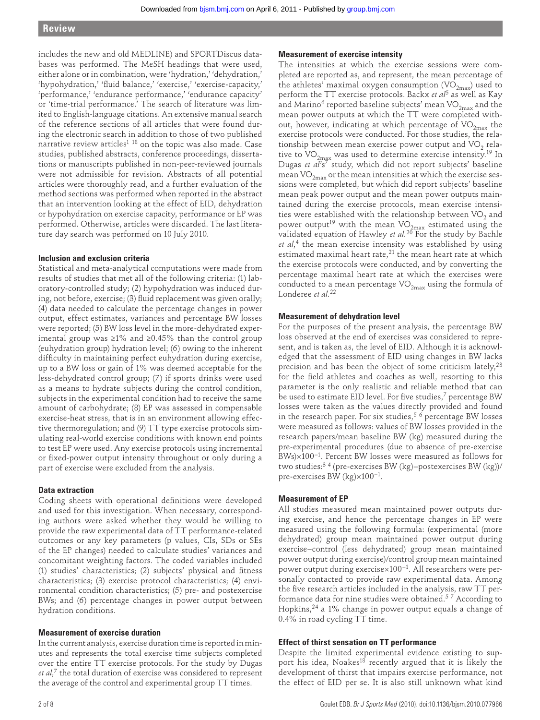includes the new and old MEDLINE) and SPORTDiscus databases was performed. The MeSH headings that were used, either alone or in combination, were 'hydration,' 'dehydration,' 'hypohydration,' 'fluid balance,' 'exercise,' 'exercise-capacity,' 'performance,' 'endurance performance,' 'endurance capacity' or 'time-trial performance.' The search of literature was limited to English-language citations. An extensive manual search of the reference sections of all articles that were found during the electronic search in addition to those of two published narrative review articles $^{\rm 1~18}$  on the topic was also made. Case studies, published abstracts, conference proceedings, dissertations or manuscripts published in non-peer-reviewed journals were not admissible for revision. Abstracts of all potential articles were thoroughly read, and a further evaluation of the method sections was performed when reported in the abstract that an intervention looking at the effect of EID, dehydration or hypohydration on exercise capacity, performance or EP was performed. Otherwise, articles were discarded. The last literature day search was performed on 10 July 2010.

#### **Inclusion and exclusion criteria**

Statistical and meta-analytical computations were made from results of studies that met all of the following criteria: (1) laboratory-controlled study; (2) hypohydration was induced during, not before, exercise; (3) fluid replacement was given orally; (4) data needed to calculate the percentage changes in power output, effect estimates, variances and percentage BW losses were reported; (5) BW loss level in the more-dehydrated experimental group was ≥1% and ≥0.45% than the control group (euhydration group) hydration level; (6) owing to the inherent difficulty in maintaining perfect euhydration during exercise, up to a BW loss or gain of 1% was deemed acceptable for the less-dehydrated control group; (7) if sports drinks were used as a means to hydrate subjects during the control condition, subjects in the experimental condition had to receive the same amount of carbohydrate; (8) EP was assessed in compensable exercise-heat stress, that is in an environment allowing effective thermoregulation; and (9) TT type exercise protocols simulating real-world exercise conditions with known end points to test EP were used. Any exercise protocols using incremental or fixed-power output intensity throughout or only during a part of exercise were excluded from the analysis.

#### **Data extraction**

Coding sheets with operational definitions were developed and used for this investigation. When necessary, corresponding authors were asked whether they would be willing to provide the raw experimental data of TT performance-related outcomes or any key parameters (p values, CIs, SDs or SEs of the EP changes) needed to calculate studies' variances and concomitant weighting factors. The coded variables included (1) studies' characteristics; (2) subjects' physical and fitness characteristics; (3) exercise protocol characteristics; (4) environmental condition characteristics; (5) pre- and postexercise BWs; and (6) percentage changes in power output between hydration conditions.

#### **Measurement of exercise duration**

In the current analysis, exercise duration time is reported in minutes and represents the total exercise time subjects completed over the entire TT exercise protocols. For the study by Dugas et al,<sup>7</sup> the total duration of exercise was considered to represent the average of the control and experimental group TT times.

The intensities at which the exercise sessions were completed are reported as, and represent, the mean percentage of the athletes' maximal oxygen consumption  $(VO_{2max})$  used to perform the TT exercise protocols. Backx *et al*<sup>5</sup> as well as Kay and Marino<sup>6</sup> reported baseline subjects' mean  $\rm VO_{2max}$  and the mean power outputs at which the TT were completed without, however, indicating at which percentage of  $VO_{2max}$  the exercise protocols were conducted. For those studies, the relationship between mean exercise power output and  $VO<sub>2</sub>$  relative to  $\mathrm{VO}_{2\mathrm{max}}$  was used to determine exercise intensity.<sup>19</sup> In Dugas *et al's<sup>7</sup>* study, which did not report subjects' baseline mean VO $_{2\rm max}$  or the mean intensities at which the exercise sessions were completed, but which did report subjects' baseline mean peak power output and the mean power outputs maintained during the exercise protocols, mean exercise intensities were established with the relationship between  $\mathrm{VO}_2$  and power output<sup>19</sup> with the mean  $VO_{2max}$  estimated using the validated equation of Hawley *et al.*20 For the study by Bachle et al,<sup>4</sup> the mean exercise intensity was established by using estimated maximal heart rate, $^{21}$  the mean heart rate at which the exercise protocols were conducted, and by converting the percentage maximal heart rate at which the exercises were conducted to a mean percentage  $VO_{2max}$  using the formula of Londeree *et al.*<sup>22</sup>

## **Measurement of dehydration level**

For the purposes of the present analysis, the percentage BW loss observed at the end of exercises was considered to represent, and is taken as, the level of EID. Although it is acknowledged that the assessment of EID using changes in BW lacks precision and has been the object of some criticism lately,  $2^3$ for the field athletes and coaches as well, resorting to this parameter is the only realistic and reliable method that can be used to estimate EID level. For five studies,<sup>7</sup> percentage BW losses were taken as the values directly provided and found in the research paper. For six studies,  $5\,6$  percentage BW losses were measured as follows: values of BW losses provided in the research papers/mean baseline BW (kg) measured during the pre-experimental procedures (due to absence of pre-exercise BWs)×100<sup>-1</sup>. Percent BW losses were measured as follows for two studies:<sup>34</sup> (pre-exercises BW (kg)–postexercises BW (kg))/ pre-exercises BW (kg) $\times$ 100<sup>-1</sup>.

#### **Measurement of EP**

All studies measured mean maintained power outputs during exercise, and hence the percentage changes in EP were measured using the following formula: (experimental (more dehydrated) group mean maintained power output during exercise–control (less dehydrated) group mean maintained power output during exercise)/control group mean maintained power output during exercise×100<sup>-1</sup>. All researchers were personally contacted to provide raw experimental data. Among the five research articles included in the analysis, raw TT performance data for nine studies were obtained.<sup>57</sup> According to Hopkins, 24 a 1% change in power output equals a change of 0.4% in road cycling TT time.

# **Effect of thirst sensation on TT performance**

Despite the limited experimental evidence existing to support his idea, Noakes<sup>18</sup> recently argued that it is likely the development of thirst that impairs exercise performance, not the effect of EID per se. It is also still unknown what kind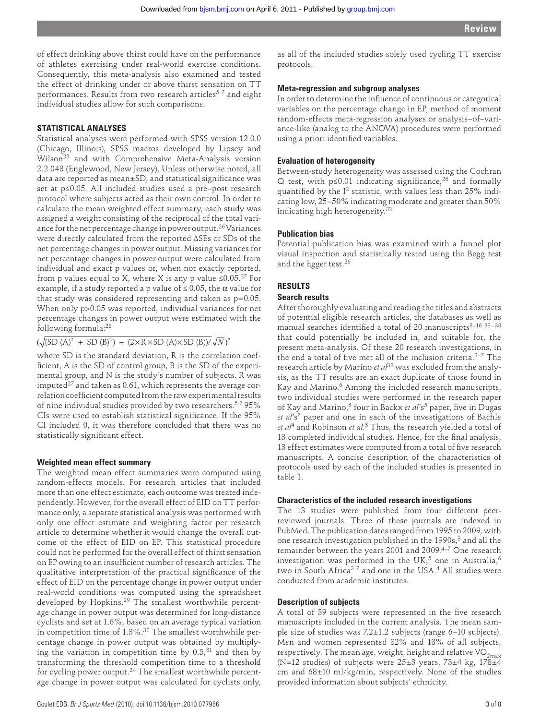of effect drinking above thirst could have on the performance of athletes exercising under real-world exercise conditions. Consequently, this meta-analysis also examined and tested the effect of drinking under or above thirst sensation on TT performances. Results from two research articles $^\mathrm{5.7}$  and eight individual studies allow for such comparisons.

# **STATISTICAL ANALYSES**

Statistical analyses were performed with SPSS version 12.0.0 (Chicago, Illinois), SPSS macros developed by Lipsey and Wilson<sup>25</sup> and with Comprehensive Meta-Analysis version 2.2.048 (Englewood, New Jersey). Unless otherwise noted, all data are reported as mean±SD, and statistical significance was set at p≤0.05. All included studies used a pre–post research protocol where subjects acted as their own control. In order to calculate the mean weighted effect summary, each study was assigned a weight consisting of the reciprocal of the total variance for the net percentage change in power output. 26 Variances were directly calculated from the reported ΔSEs or SDs of the net percentage changes in power output. Missing variances for net percentage changes in power output were calculated from individual and exact p values or, when not exactly reported, from p values equal to X, where X is any p value  $\leq 0.05$ .<sup>27</sup> For example, if a study reported a p value of  $\leq 0.05$ , the  $\alpha$  value for that study was considered representing and taken as  $p=0.05$ . When only  $p > 0.05$  was reported, individual variances for net percentage changes in power output were estimated with the following formula:<sup>28</sup>

 $(\sqrt{(SD (A)^2 + SD (B)^2}) - (2 \times R \times SD (A) \times SD (B)}) / \sqrt{N})^2$ 

where SD is the standard deviation, R is the correlation coefficient, A is the SD of control group, B is the SD of the experimental group, and N is the study's number of subjects. R was imputed<sup>27</sup> and taken as 0.61, which represents the average correlation coefficient computed from the raw experimental results of nine individual studies provided by two researchers. $57$  95% CIs were used to establish statistical significance. If the  $95\%$ CI included 0, it was therefore concluded that there was no statistically significant effect.

#### **Weighted mean effect summary**

The weighted mean effect summaries were computed using random-effects models. For research articles that included more than one effect estimate, each outcome was treated independently. However, for the overall effect of EID on TT performance only, a separate statistical analysis was performed with only one effect estimate and weighting factor per research article to determine whether it would change the overall outcome of the effect of EID on EP. This statistical procedure could not be performed for the overall effect of thirst sensation on EP owing to an insufficient number of research articles. The qualitative interpretation of the practical significance of the effect of EID on the percentage change in power output under real-world conditions was computed using the spreadsheet developed by Hopkins.<sup>29</sup> The smallest worthwhile percentage change in power output was determined for long-distance cyclists and set at 1.6%, based on an average typical variation in competition time of 1.3%. 30 The smallest worthwhile percentage change in power output was obtained by multiplying the variation in competition time by  $0.5$ ,  $31$  and then by transforming the threshold competition time to a threshold for cycling power output. 24 The smallest worthwhile percentage change in power output was calculated for cyclists only,

as all of the included studies solely used cycling TT exercise protocols.

# **Meta-regression and subgroup analyses**

In order to determine the influence of continuous or categorical variables on the percentage change in EP, method of moment random-effects meta-regression analyses or analysis–of–variance-like (analog to the ANOVA) procedures were performed using a priori identified variables.

#### **Evaluation of heterogeneity**

Between-study heterogeneity was assessed using the Cochran Q test, with  $p \le 0.01$  indicating significance,<sup>26</sup> and formally quantified by the  $I^2$  statistic, with values less than 25% indicating low, 25–50% indicating moderate and greater than 50% indicating high heterogeneity. 32

#### **Publication bias**

Potential publication bias was examined with a funnel plot visual inspection and statistically tested using the Begg test and the Egger test. 26

# **RESULTS**

#### **Search results**

After thoroughly evaluating and reading the titles and abstracts of potential eligible research articles, the databases as well as manual searches identified a total of 20 manuscripts $^{\rm 3-16}$   $^{\rm 33-38}$ that could potentially be included in, and suitable for, the present meta-analysis. Of these 20 research investigations, in the end a total of five met all of the inclusion criteria. $3-7$  The research article by Marino *et al*38 was excluded from the analysis, as the TT results are an exact duplicate of those found in Kay and Marino.<sup>6</sup> Among the included research manuscripts, two individual studies were performed in the research paper of Kay and Marino,<sup>6</sup> four in Backx *et al's*<sup>5</sup> paper, five in Dugas et al's<sup>7</sup> paper and one in each of the investigations of Bachle et al<sup>4</sup> and Robinson et al.<sup>3</sup> Thus, the research yielded a total of 13 completed individual studies. Hence, for the final analysis, 13 effect estimates were computed from a total of five research manuscripts. A concise description of the characteristics of protocols used by each of the included studies is presented in table 1.

#### **Characteristics of the included research investigations**

The 13 studies were published from four different peerreviewed journals. Three of these journals are indexed in PubMed. The publication dates ranged from 1995 to 2009, with one research investigation published in the 1990s,<sup>3</sup> and all the remainder between the years 2001 and 2009.<sup>4-7</sup> One research investigation was performed in the UK,<sup>5</sup> one in Australia,<sup>6</sup> two in South Africa $3\frac{7}{9}$  and one in the USA. $^4$  All studies were conducted from academic institutes.

#### **Description of subjects**

A total of 39 subjects were represented in the five research manuscripts included in the current analysis. The mean sample size of studies was 7.2±1.2 subjects (range 6–10 subjects). Men and women represented 82% and 18% of all subjects, respectively. The mean age, weight, height and relative  $\mathrm{VO}_{2\mathrm{max}}$ (N=12 studies) of subjects were 25±3 years, 73±4 kg, 178±4 cm and 68±10 ml/kg/min, respectively. None of the studies provided information about subjects' ethnicity.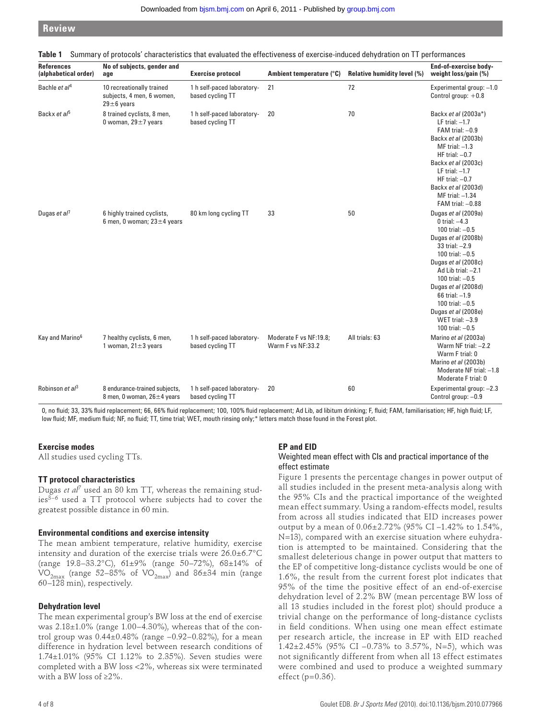#### **Review**

| <b>References</b><br>(alphabetical order) | No of subjects, gender and<br>age                                          | <b>Exercise protocol</b>                       | Ambient temperature (°C)                    | <b>Relative humidity level (%)</b> | End-of-exercise body-<br>weight loss/gain (%)                                                                                                                                                                                                                                                                                |
|-------------------------------------------|----------------------------------------------------------------------------|------------------------------------------------|---------------------------------------------|------------------------------------|------------------------------------------------------------------------------------------------------------------------------------------------------------------------------------------------------------------------------------------------------------------------------------------------------------------------------|
| Bachle et al <sup>4</sup>                 | 10 recreationally trained<br>subjects, 4 men, 6 women,<br>$29 \pm 6$ years | 1 h self-paced laboratory-<br>based cycling TT | 21                                          | 72                                 | Experimental group: -1.0<br>Control group: $+0.8$                                                                                                                                                                                                                                                                            |
| Backx et al <sup>5</sup>                  | 8 trained cyclists, 8 men,<br>0 woman, $29 \pm 7$ years                    | 1 h self-paced laboratory-<br>based cycling TT | 20                                          | 70                                 | Backx et al (2003a*)<br>LF trial: $-1.7$<br>FAM trial: -0.9<br>Backx et al (2003b)<br>MF trial: $-1.3$<br>HF trial: $-0.7$<br>Backx et al (2003c)<br>LF trial: $-1.7$<br>HF trial: $-0.7$<br>Backx et al (2003d)<br>MF trial: $-1.34$<br>FAM trial: $-0.88$                                                                  |
| Dugas et al <sup>7</sup>                  | 6 highly trained cyclists,<br>6 men, 0 woman; $23 \pm 4$ years             | 80 km long cycling TT                          | 33                                          | 50                                 | Dugas et al (2009a)<br>0 trial: $-4.3$<br>100 trial: $-0.5$<br>Dugas et al (2008b)<br>33 trial: -2.9<br>100 trial: $-0.5$<br>Dugas et al (2008c)<br>Ad Lib trial: -2.1<br>100 trial: $-0.5$<br>Dugas et al (2008d)<br>66 trial: $-1.9$<br>100 trial: $-0.5$<br>Dugas et al (2008e)<br>WET trial: $-3.9$<br>100 trial: $-0.5$ |
| Kay and Marino <sup>6</sup>               | 7 healthy cyclists, 6 men,<br>1 woman, $21 \pm 3$ years                    | 1 h self-paced laboratory-<br>based cycling TT | Moderate F vs NF:19.8:<br>Warm F vs NF:33.2 | All trials: 63                     | Marino et al (2003a)<br>Warm NF trial: -2.2<br>Warm F trial: 0<br>Marino et al (2003b)<br>Moderate NF trial: -1.8<br>Moderate F trial: 0                                                                                                                                                                                     |
| Robinson et $a^{3}$                       | 8 endurance-trained subjects,<br>8 men, 0 woman, $26 \pm 4$ years          | 1 h self-paced laboratory-<br>based cycling TT | 20                                          | 60                                 | Experimental group: -2.3<br>Control group: -0.9                                                                                                                                                                                                                                                                              |

|  |  | Table 1 Summary of protocols' characteristics that evaluated the effectiveness of exercise-induced dehydration on TT performances |  |  |  |  |
|--|--|-----------------------------------------------------------------------------------------------------------------------------------|--|--|--|--|
|--|--|-----------------------------------------------------------------------------------------------------------------------------------|--|--|--|--|

0, no fluid; 33, 33% fluid replacement; 66, 66% fluid replacement; 100, 100% fluid replacement; Ad Lib, ad libitum drinking; F, fluid; FAM, familiarisation; HF, high fluid; LF, low fluid; MF, medium fluid; NF, no fluid; TT, time trial; WET, mouth rinsing only;\* letters match those found in the Forest plot.

#### **Exercise modes**

All studies used cycling TTs.

#### **TT protocol characteristics**

Dugas *et al*<sup>7</sup> used an 80 km TT, whereas the remaining studies $3-6$  used a TT protocol where subjects had to cover the greatest possible distance in 60 min.

#### **Environmental conditions and exercise intensity**

The mean ambient temperature, relative humidity, exercise intensity and duration of the exercise trials were 26.0±6.7°C (range 19.8–33.2°C), 61±9% (range 50–72%), 68±14% of  $\rm VO_{2max}$  (range 52–85% of  $\rm VO_{2max}$ ) and 86±34 min (range 60–128 min), respectively.

#### **Dehydration level**

The mean experimental group's BW loss at the end of exercise was 2.18±1.0% (range 1.00–4.30%), whereas that of the control group was  $0.44 \pm 0.48\%$  (range  $-0.92 - 0.82\%$ ), for a mean difference in hydration level between research conditions of 1.74±1.01% (95% CI 1.12% to 2.35%). Seven studies were completed with a BW loss <2%, whereas six were terminated with a BW loss of ≥2%.

#### **EP and EID**

## Weighted mean effect with CIs and practical importance of the effect estimate

Figure 1 presents the percentage changes in power output of all studies included in the present meta-analysis along with the 95% CIs and the practical importance of the weighted mean effect summary. Using a random-effects model, results from across all studies indicated that EID increases power output by a mean of 0.06±2.72% (95% CI –1.42% to 1.54%, N=13), compared with an exercise situation where euhydration is attempted to be maintained. Considering that the smallest deleterious change in power output that matters to the EP of competitive long-distance cyclists would be one of 1.6%, the result from the current forest plot indicates that 95% of the time the positive effect of an end-of-exercise dehydration level of 2.2% BW (mean percentage BW loss of all 13 studies included in the forest plot) should produce a trivial change on the performance of long-distance cyclists in field conditions. When using one mean effect estimate per research article, the increase in EP with EID reached 1.42±2.45% (95% CI –0.73% to 3.57%, N=5), which was not significantly different from when all 13 effect estimates were combined and used to produce a weighted summary effect  $(p=0.36)$ .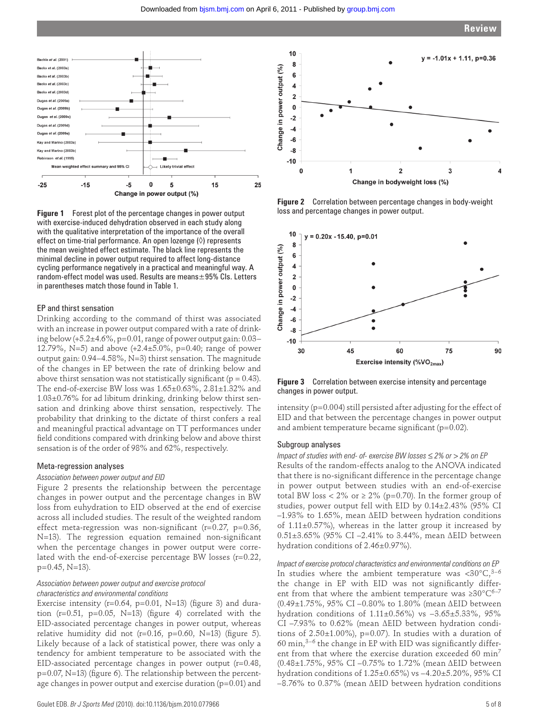

**Figure 1** Forest plot of the percentage changes in power output with exercise-induced dehydration observed in each study along with the qualitative interpretation of the importance of the overall effect on time-trial performance. An open lozenge (◊) represents the mean weighted effect estimate. The black line represents the minimal decline in power output required to affect long-distance cycling performance negatively in a practical and meaningful way. A random-effect model was used. Results are means±95% CIs. Letters in parentheses match those found in Table 1.

#### EP and thirst sensation

Drinking according to the command of thirst was associated with an increase in power output compared with a rate of drinking below  $(+5.2\pm4.6\%, p=0.01, \text{range of power output gain: } 0.03-$ 12.79%, N=5) and above  $(+2.4 \pm 5.0\% , p=0.40;$  range of power output gain: 0.94–4.58%, N=3) thirst sensation. The magnitude of the changes in EP between the rate of drinking below and above thirst sensation was not statistically significant ( $p = 0.43$ ). The end-of-exercise BW loss was 1.65±0.63%, 2.81±1.32% and 1.03±0.76% for ad libitum drinking, drinking below thirst sensation and drinking above thirst sensation, respectively. The probability that drinking to the dictate of thirst confers a real and meaningful practical advantage on TT performances under field conditions compared with drinking below and above thirst sensation is of the order of 98% and 62%, respectively.

#### Meta-regression analyses

#### *Association between power output and EID*

Figure 2 presents the relationship between the percentage changes in power output and the percentage changes in BW loss from euhydration to EID observed at the end of exercise across all included studies. The result of the weighted random effect meta-regression was non-significant ( $r=0.27$ ,  $p=0.36$ ,  $N=13$ ). The regression equation remained non-significant when the percentage changes in power output were correlated with the end-of-exercise percentage BW losses (r=0.22, p=0.45, N=13).

# *Association between power output and exercise protocol characteristics and environmental conditions*

Exercise intensity ( $r=0.64$ ,  $p=0.01$ , N=13) (figure 3) and duration  $(r=0.51, p=0.05, N=13)$  (figure 4) correlated with the EID-associated percentage changes in power output, whereas relative humidity did not (r=0.16, p=0.60, N=13) (figure 5). Likely because of a lack of statistical power, there was only a tendency for ambient temperature to be associated with the EID-associated percentage changes in power output (r=0.48,  $p=0.07$ , N=13) (figure 6). The relationship between the percentage changes in power output and exercise duration (p=0.01) and



 **Figure 2** Correlation between percentage changes in body-weight loss and percentage changes in power output.



 **Figure 3** Correlation between exercise intensity and percentage changes in power output.

intensity (p=0.004) still persisted after adjusting for the effect of EID and that between the percentage changes in power output and ambient temperature became significant ( $p=0.02$ ).

#### Subgroup analyses

 *Impact of studies with end- of- exercise BW losses* ≤ *2% or* > *2% on EP*  Results of the random-effects analog to the ANOVA indicated that there is no-significant difference in the percentage change in power output between studies with an end-of-exercise total BW loss <  $2\%$  or  $\geq 2\%$  (p=0.70). In the former group of studies, power output fell with EID by 0.14±2.43% (95% CI –1.93% to 1.65%, mean ΔEID between hydration conditions of  $1.11\pm0.57\%$ ), whereas in the latter group it increased by 0.51±3.65% (95% CI –2.41% to 3.44%, mean ΔEID between hydration conditions of 2.46±0.97%).

 *Impact of exercise protocol characteristics and environmental conditions on EP*  In studies where the ambient temperature was <30 $^{\circ}$ C,  $^{3-6}$ the change in EP with EID was not significantly different from that where the ambient temperature was  $\geq 30^{\circ}C^{6-7}$ (0.49±1.75%, 95% CI –0.80% to 1.80% (mean ΔEID between hydration conditions of  $1.11\pm0.56\%$  vs  $-3.65\pm5.33\%$ , 95% CI –7.93% to 0.62% (mean ΔEID between hydration conditions of 2.50±1.00%), p=0.07). In studies with a duration of 60 min, $3-6$  the change in EP with EID was significantly different from that where the exercise duration exceeded 60 min<sup>7</sup> (0.48±1.75%, 95% CI –0.75% to 1.72% (mean ΔEID between hydration conditions of 1.25±0.65%) vs –4.20±5.20%, 95% CI –8.76% to 0.37% (mean ΔEID between hydration conditions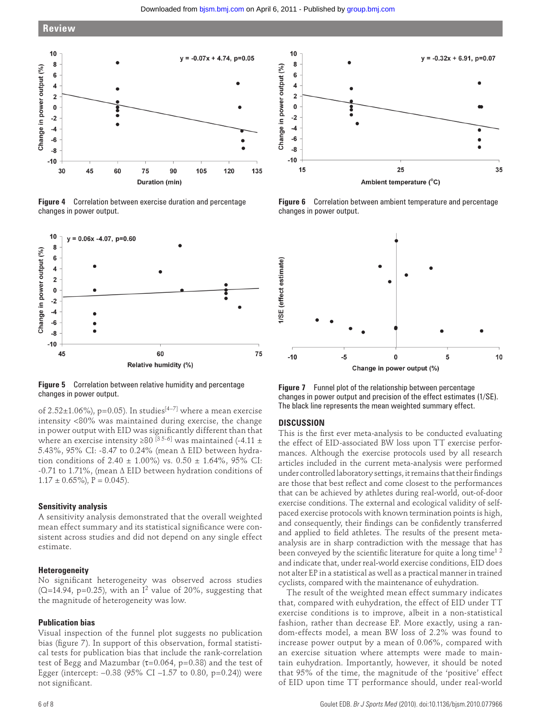



 **Figure 4** Correlation between exercise duration and percentage changes in power output.



 **Figure 5** Correlation between relative humidity and percentage changes in power output.

of  $2.52\pm1.06\%$ , p=0.05). In studies<sup>[4-7]</sup> where a mean exercise intensity <80% was maintained during exercise, the change in power output with EID was significantly different than that where an exercise intensity ≥80  $^{\left[3\,5\text{-}6\right]}$  was maintained (-4.11 ± 5.43%, 95% CI: -8.47 to 0.24% (mean Δ EID between hydration conditions of 2.40  $\pm$  1.00%) vs. 0.50  $\pm$  1.64%, 95% CI: -0.71 to 1.71%, (mean Δ EID between hydration conditions of  $1.17 \pm 0.65\%$ , P = 0.045).

#### **Sensitivity analysis**

A sensitivity analysis demonstrated that the overall weighted mean effect summary and its statistical significance were consistent across studies and did not depend on any single effect estimate.

#### **Heterogeneity**

No significant heterogeneity was observed across studies ( $Q=14.94$ , p=0.25), with an I<sup>2</sup> value of 20%, suggesting that the magnitude of heterogeneity was low.

#### **Publication bias**

Visual inspection of the funnel plot suggests no publication bias (figure 7). In support of this observation, formal statistical tests for publication bias that include the rank-correlation test of Begg and Mazumbar ( $\tau$ =0.064, p=0.38) and the test of Egger (intercept: –0.38 (95% CI –1.57 to 0.80, p=0.24)) were not significant.



 **Figure 6** Correlation between ambient temperature and percentage changes in power output.



 **Figure 7** Funnel plot of the relationship between percentage changes in power output and precision of the effect estimates (1/SE). The black line represents the mean weighted summary effect.

#### **DISCUSSION**

This is the first ever meta-analysis to be conducted evaluating the effect of EID-associated BW loss upon TT exercise performances. Although the exercise protocols used by all research articles included in the current meta-analysis were performed under controlled laboratory settings, it remains that their findings are those that best reflect and come closest to the performances that can be achieved by athletes during real-world, out-of-door exercise conditions. The external and ecological validity of selfpaced exercise protocols with known termination points is high, and consequently, their findings can be confidently transferred and applied to field athletes. The results of the present metaanalysis are in sharp contradiction with the message that has been conveyed by the scientific literature for quite a long time<sup>12</sup> and indicate that, under real-world exercise conditions, EID does not alter EP in a statistical as well as a practical manner in trained cyclists, compared with the maintenance of euhydration.

The result of the weighted mean effect summary indicates that, compared with euhydration, the effect of EID under TT exercise conditions is to improve, albeit in a non-statistical fashion, rather than decrease EP. More exactly, using a random-effects model, a mean BW loss of 2.2% was found to increase power output by a mean of 0.06%, compared with an exercise situation where attempts were made to maintain euhydration. Importantly, however, it should be noted that 95% of the time, the magnitude of the 'positive' effect of EID upon time TT performance should, under real-world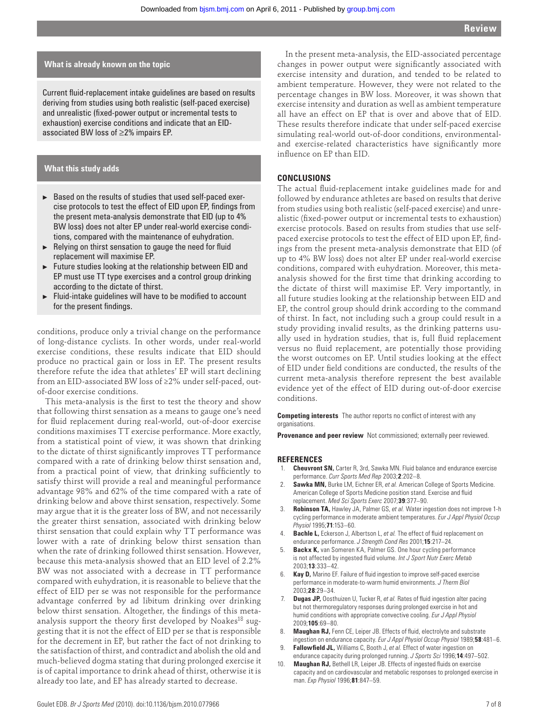#### **What is already known on the topic**

Current fluid-replacement intake quidelines are based on results deriving from studies using both realistic (self-paced exercise) and unrealistic (fixed-power output or incremental tests to exhaustion) exercise conditions and indicate that an EIDassociated BW loss of ≥2% impairs EP.

# **What this study adds**

- $\triangleright$  Based on the results of studies that used self-paced exercise protocols to test the effect of EID upon EP, findings from the present meta-analysis demonstrate that EID (up to 4% BW loss) does not alter EP under real-world exercise conditions, compared with the maintenance of euhydration.
- Relying on thirst sensation to gauge the need for fluid replacement will maximise EP.
- Future studies looking at the relationship between EID and EP must use TT type exercises and a control group drinking according to the dictate of thirst.
- Fluid-intake guidelines will have to be modified to account for the present findings.

conditions, produce only a trivial change on the performance of long-distance cyclists. In other words, under real-world exercise conditions, these results indicate that EID should produce no practical gain or loss in EP. The present results therefore refute the idea that athletes' EP will start declining from an EID-associated BW loss of ≥2% under self-paced, outof-door exercise conditions.

This meta-analysis is the first to test the theory and show that following thirst sensation as a means to gauge one's need for fluid replacement during real-world, out-of-door exercise conditions maximises TT exercise performance. More exactly, from a statistical point of view, it was shown that drinking to the dictate of thirst significantly improves TT performance compared with a rate of drinking below thirst sensation and, from a practical point of view, that drinking sufficiently to satisfy thirst will provide a real and meaningful performance advantage 98% and 62% of the time compared with a rate of drinking below and above thirst sensation, respectively. Some may argue that it is the greater loss of BW, and not necessarily the greater thirst sensation, associated with drinking below thirst sensation that could explain why TT performance was lower with a rate of drinking below thirst sensation than when the rate of drinking followed thirst sensation. However, because this meta-analysis showed that an EID level of 2.2% BW was not associated with a decrease in TT performance compared with euhydration, it is reasonable to believe that the effect of EID per se was not responsible for the performance advantage conferred by ad libitum drinking over drinking below thirst sensation. Altogether, the findings of this metaanalysis support the theory first developed by Noakes<sup>18</sup> suggesting that it is not the effect of EID per se that is responsible for the decrement in EP, but rather the fact of not drinking to the satisfaction of thirst, and contradict and abolish the old and much-believed dogma stating that during prolonged exercise it is of capital importance to drink ahead of thirst, otherwise it is already too late, and EP has already started to decrease.

In the present meta-analysis, the EID-associated percentage changes in power output were significantly associated with exercise intensity and duration, and tended to be related to ambient temperature. However, they were not related to the percentage changes in BW loss. Moreover, it was shown that exercise intensity and duration as well as ambient temperature all have an effect on EP that is over and above that of EID. These results therefore indicate that under self-paced exercise simulating real-world out-of-door conditions, environmentaland exercise-related characteristics have significantly more influence on EP than EID.

# **CONCLUSIONS**

The actual fluid-replacement intake guidelines made for and followed by endurance athletes are based on results that derive from studies using both realistic (self-paced exercise) and unrealistic (fixed-power output or incremental tests to exhaustion) exercise protocols. Based on results from studies that use selfpaced exercise protocols to test the effect of EID upon EP, findings from the present meta-analysis demonstrate that EID (of up to 4% BW loss) does not alter EP under real-world exercise conditions, compared with euhydration. Moreover, this metaanalysis showed for the first time that drinking according to the dictate of thirst will maximise EP. Very importantly, in all future studies looking at the relationship between EID and EP, the control group should drink according to the command of thirst. In fact, not including such a group could result in a study providing invalid results, as the drinking patterns usually used in hydration studies, that is, full fluid replacement versus no fluid replacement, are potentially those providing the worst outcomes on EP. Until studies looking at the effect of EID under field conditions are conducted, the results of the current meta-analysis therefore represent the best available evidence yet of the effect of EID during out-of-door exercise conditions.

**Competing interests** The author reports no conflict of interest with any organisations.

**Provenance and peer review** Not commissioned; externally peer reviewed.

#### **REFERENCES**

- **Cheuvront SN,** Carter R, 3rd, Sawka MN. Fluid balance and endurance exercise performance. Curr Sports Med Rep 2003;2:202-8.
- 2. **Sawka MN,** Burke LM, Eichner ER, *et al.* American College of Sports Medicine. American College of Sports Medicine position stand. Exercise and fluid replacement. *Med Sci Sports Exerc* 2007 ; **39** : 377 – 90 .
- 3. **Robinson TA,** Hawley JA, Palmer GS, *et al.* Water ingestion does not improve 1-h cycling performance in moderate ambient temperatures. *Eur J Appl Physiol Occup Physiol* 1995 ; **71** : 153 – 60 .
- 4. **Bachle L,** Eckerson J, Albertson L, *et al.* The effect of fluid replacement on endurance performance. *J Strength Cond Res* 2001;15:217-24
- **Backx K,** van Someren KA, Palmer GS. One hour cycling performance is not affected by ingested fluid volume. *Int J Sport Nutr Exerc Metab* 2003 ; **13** : 333 – 42 .
- 6. **Kay D,** Marino EF. Failure of fluid ingestion to improve self-paced exercise performance in moderate-to-warm humid environments. *J Therm Biol* 2003 ; **28** : 29 – 34 .
- **Dugas JP,** Oosthuizen U, Tucker R, et al. Rates of fluid ingestion alter pacing but not thermoregulatory responses during prolonged exercise in hot and humid conditions with appropriate convective cooling. *Eur J Appl Physiol* 2009 ; **105** : 69 – 80 .
- 8. **Maughan RJ,** Fenn CE, Leiper JB. Effects of fluid, electrolyte and substrate ingestion on endurance capacity. *Eur J Appl Physiol Occup Physiol* 1989;58:481-6.
- 9. **Fallowfield JL,** Williams C, Booth J, et al. Effect of water ingestion on endurance capacity during prolonged running. *J Sports Sci* 1996 ; **14** : 497 – 502 .
- 10. **Maughan RJ,** Bethell LR, Leiper JB. Effects of ingested fluids on exercise capacity and on cardiovascular and metabolic responses to prolonged exercise in man. *Exp Physiol* 1996 ; **81** : 847 – 59 .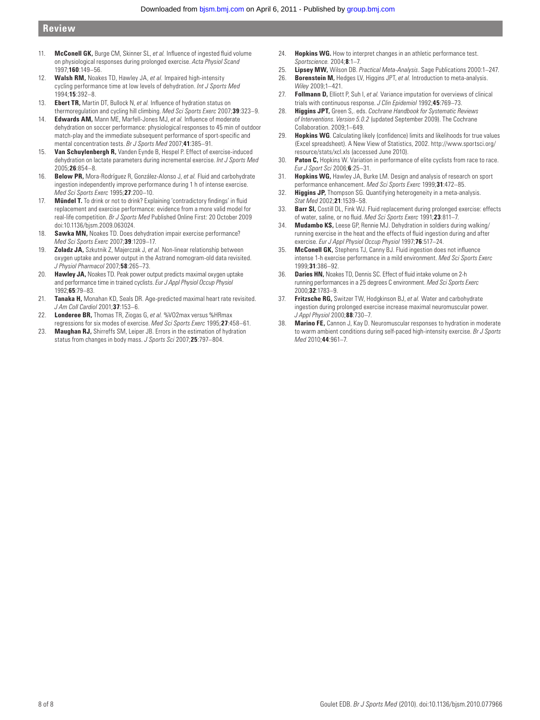- 11. McConell GK, Burge CM, Skinner SL, et al. Influence of ingested fluid volume on physiological responses during prolonged exercise. *Acta Physiol Scand* 1997 ; **160** : 149 – 56 .
- 12. **Walsh RM,** Noakes TD, Hawley JA, *et al.* Impaired high-intensity cycling performance time at low levels of dehydration. *Int J Sports Med* 1994 ; **15** : 392 – 8 .
- 13. **Ebert TR,** Martin DT, Bullock N, et al. Influence of hydration status on thermoregulation and cycling hill climbing. Med Sci Sports Exerc 2007;39:323-9.
- 14. **Edwards AM,** Mann ME, Marfell-Jones MJ, et al. Influence of moderate dehydration on soccer performance: physiological responses to 45 min of outdoor match-play and the immediate subsequent performance of sport-specific and mental concentration tests. *Br J Sports Med* 2007;41:385-91.
- 15. **Van Schuylenbergh R,** Vanden Eynde B, Hespel P. Effect of exercise-induced dehydration on lactate parameters during incremental exercise. *Int J Sports Med* 2005 ; **26** : 854 – 8 .
- 16. **Below PR,** Mora-Rodríguez R, González-Alonso J, *et al.* Fluid and carbohydrate ingestion independently improve performance during 1 h of intense exercise. *Med Sci Sports Exerc* 1995 ; **27** : 200 – 10 .
- 17. **Mündel T.** To drink or not to drink? Explaining 'contradictory findings' in fluid replacement and exercise performance: evidence from a more valid model for real-life competition. *Br J Sports Med* Published Online First: 20 October 2009 doi:10.1136/bjsm.2009.063024.
- 18. **Sawka MN,** Noakes TD. Does dehydration impair exercise performance? *Med Sci Sports Exerc* 2007 ; **39** : 1209 – 17 .
- 19. **Zoladz JA,** Szkutnik Z, Majerczak J, *et al.* Non-linear relationship between oxygen uptake and power output in the Astrand nomogram-old data revisited. *J Physiol Pharmacol* 2007 ; **58** : 265 – 73 .
- 20. **Hawley JA,** Noakes TD. Peak power output predicts maximal oxygen uptake and performance time in trained cyclists. *Eur J Appl Physiol Occup Physiol* 1992 ; **65** : 79 – 83 .
- 21. **Tanaka H,** Monahan KD, Seals DR. Age-predicted maximal heart rate revisited. *J Am Coll Cardiol* 2001 ; **37** : 153 – 6 .
- 22. **Londeree BR,** Thomas TR, Ziogas G, *et al.* %VO2max versus %HRmax regressions for six modes of exercise. *Med Sci Sports Exerc* 1995 ; **27** : 458 – 61 .
- 23. **Maughan RJ,** Shirreffs SM, Leiper JB. Errors in the estimation of hydration status from changes in body mass. *J Sports Sci* 2007;25:797-804
- 24. **Hopkins WG.** How to interpret changes in an athletic performance test. *Sportscience.* 2004 ; **8** : 1 – 7 .
- 25. **Lipsey MW,** Wilson DB. *Practical Meta-Analysis*. Sage Publications 2000:1-247.
- 26. **Borenstein M,** Hedges LV, Higgins JPT, *et al.* Introduction to meta-analysis. *Wiley* 2009;1-421.
- 27. **Follmann D,** Elliott P, Suh I, *et al.* Variance imputation for overviews of clinical trials with continuous response. *J Clin Epidemiol* 1992;45:769-73.
- 28. **Higgins JPT,** Green S,. eds. *Cochrane Handbook for Systematic Reviews of Interventions* . *Version 5.0.2* (updated September 2009). The Cochrane Collaboration. 2009;1-649.
- 29. **Hopkins WG**. Calculating likely (confidence) limits and likelihoods for true values (Excel spreadsheet). A New View of Statistics, 2002. http://www.sportsci.org/ resource/stats/xcl.xls (accessed June 2010).
- 30. **Paton C,** Hopkins W. Variation in performance of elite cyclists from race to race. *Eur J Sport Sci* 2006 ; **6** : 25 – 31 .
- 31. **Hopkins WG,** Hawley JA, Burke LM. Design and analysis of research on sport performance enhancement. *Med Sci Sports Exerc* 1999 ; **31** : 472 – 85 .
- 32. **Higgins JP,** Thompson SG. Quantifying heterogeneity in a meta-analysis. *Stat Med* 2002 ; **21** : 1539 – 58 .
- 33. **Barr SI,** Costill DL, Fink WJ. Fluid replacement during prolonged exercise: effects of water, saline, or no fluid. Med Sci Sports Exerc 1991;23:811-7.
- 34. **Mudambo KS,** Leese GP, Rennie MJ. Dehydration in soldiers during walking/ running exercise in the heat and the effects of fluid ingestion during and after exercise. *Eur J Appl Physiol Occup Physiol* 1997;76:517-24.
- 35. McConell GK, Stephens TJ, Canny BJ. Fluid ingestion does not influence intense 1-h exercise performance in a mild environment. *Med Sci Sports Exerc* 1999 ; **31** : 386 – 92 .
- 36. **Daries HN**, Noakes TD, Dennis SC, Effect of fluid intake volume on 2-h running performances in a 25 degrees C environment. *Med Sci Sports Exerc* 2000 ; **32** : 1783 – 9 .
- 37. **Fritzsche RG,** Switzer TW, Hodgkinson BJ, *et al.* Water and carbohydrate ingestion during prolonged exercise increase maximal neuromuscular power. *J Appl Physiol* 2000 ; **88** : 730 – 7 .
- 38. **Marino FE,** Cannon J, Kay D. Neuromuscular responses to hydration in moderate to warm ambient conditions during self-paced high-intensity exercise. *Br J Sports Med* 2010:44:961-7.